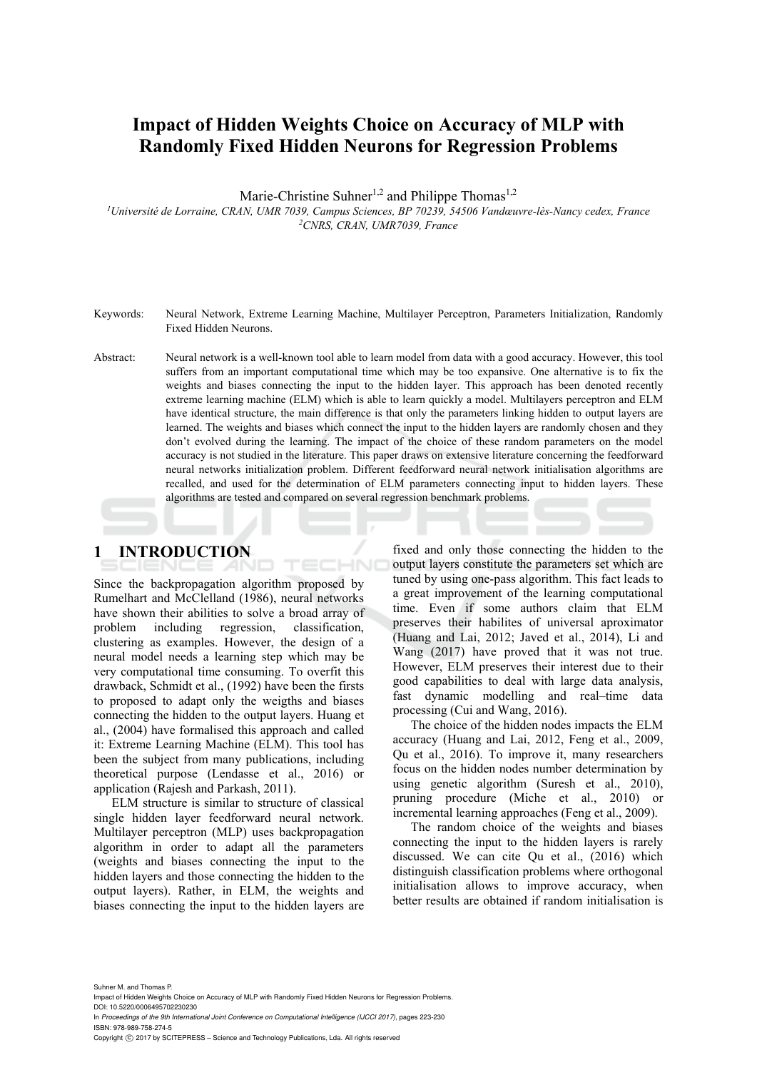# **Impact of Hidden Weights Choice on Accuracy of MLP with Randomly Fixed Hidden Neurons for Regression Problems**

Marie-Christine Suhner<sup>1,2</sup> and Philippe Thomas<sup>1,2</sup>

*1 Université de Lorraine, CRAN, UMR 7039, Campus Sciences, BP 70239, 54506 Vandœuvre-lès-Nancy cedex, France 2CNRS, CRAN, UMR7039, France* 

- Keywords: Neural Network, Extreme Learning Machine, Multilayer Perceptron, Parameters Initialization, Randomly Fixed Hidden Neurons.
- Abstract: Neural network is a well-known tool able to learn model from data with a good accuracy. However, this tool suffers from an important computational time which may be too expansive. One alternative is to fix the weights and biases connecting the input to the hidden layer. This approach has been denoted recently extreme learning machine (ELM) which is able to learn quickly a model. Multilayers perceptron and ELM have identical structure, the main difference is that only the parameters linking hidden to output layers are learned. The weights and biases which connect the input to the hidden layers are randomly chosen and they don't evolved during the learning. The impact of the choice of these random parameters on the model accuracy is not studied in the literature. This paper draws on extensive literature concerning the feedforward neural networks initialization problem. Different feedforward neural network initialisation algorithms are recalled, and used for the determination of ELM parameters connecting input to hidden layers. These algorithms are tested and compared on several regression benchmark problems.

HNC

# **1 INTRODUCTION**

Since the backpropagation algorithm proposed by Rumelhart and McClelland (1986), neural networks have shown their abilities to solve a broad array of problem including regression, classification, clustering as examples. However, the design of a neural model needs a learning step which may be very computational time consuming. To overfit this drawback, Schmidt et al., (1992) have been the firsts to proposed to adapt only the weigths and biases connecting the hidden to the output layers. Huang et al., (2004) have formalised this approach and called it: Extreme Learning Machine (ELM). This tool has been the subject from many publications, including theoretical purpose (Lendasse et al., 2016) or application (Rajesh and Parkash, 2011).

ELM structure is similar to structure of classical single hidden layer feedforward neural network. Multilayer perceptron (MLP) uses backpropagation algorithm in order to adapt all the parameters (weights and biases connecting the input to the hidden layers and those connecting the hidden to the output layers). Rather, in ELM, the weights and biases connecting the input to the hidden layers are

fixed and only those connecting the hidden to the output layers constitute the parameters set which are tuned by using one-pass algorithm. This fact leads to a great improvement of the learning computational time. Even if some authors claim that ELM preserves their habilites of universal aproximator (Huang and Lai, 2012; Javed et al., 2014), Li and Wang (2017) have proved that it was not true. However, ELM preserves their interest due to their good capabilities to deal with large data analysis, fast dynamic modelling and real–time data processing (Cui and Wang, 2016).

The choice of the hidden nodes impacts the ELM accuracy (Huang and Lai, 2012, Feng et al., 2009, Qu et al., 2016). To improve it, many researchers focus on the hidden nodes number determination by using genetic algorithm (Suresh et al., 2010), pruning procedure (Miche et al., 2010) or incremental learning approaches (Feng et al., 2009).

The random choice of the weights and biases connecting the input to the hidden layers is rarely discussed. We can cite Qu et al., (2016) which distinguish classification problems where orthogonal initialisation allows to improve accuracy, when better results are obtained if random initialisation is

Suhner M. and Thomas F. Impact of Hidden Weights Choice on Accuracy of MLP with Randomly Fixed Hidden Neurons for Regression Problems. DOI: 10.5220/0006495702230230 In *Proceedings of the 9th International Joint Conference on Computational Intelligence (IJCCI 2017)*, pages 223-230 ISBN: 978-989-758-274-5

Copyright © 2017 by SCITEPRESS - Science and Technology Publications, Lda. All rights reserved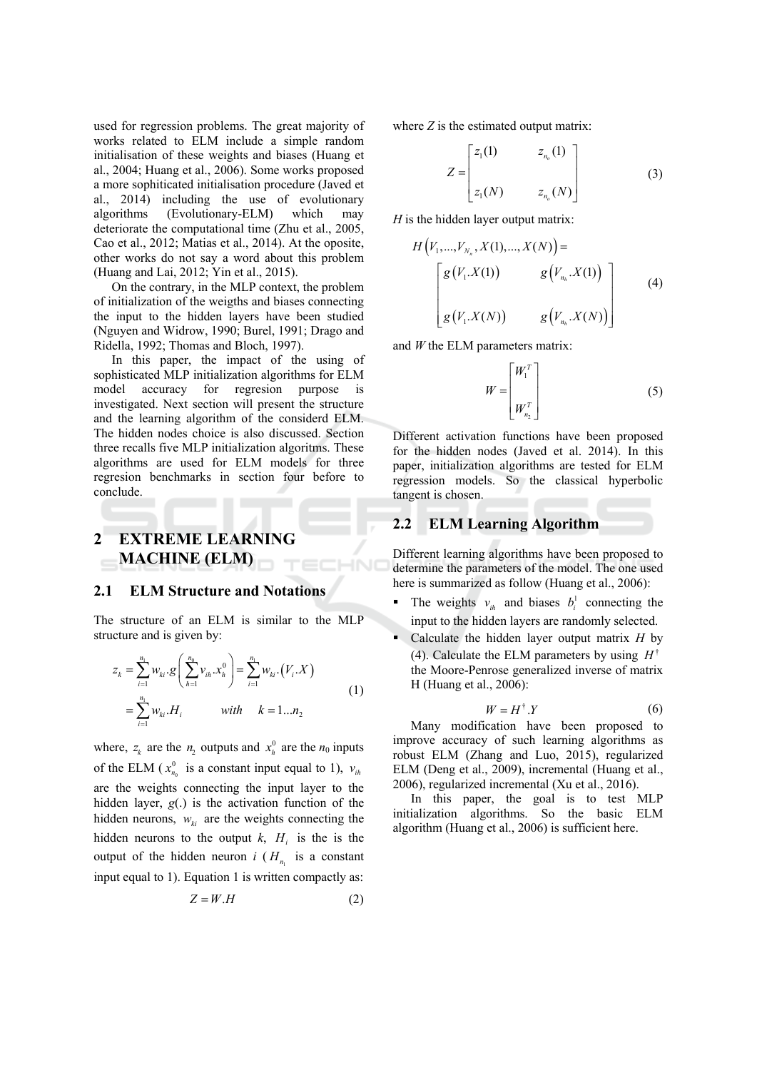used for regression problems. The great majority of works related to ELM include a simple random initialisation of these weights and biases (Huang et al., 2004; Huang et al., 2006). Some works proposed a more sophiticated initialisation procedure (Javed et al., 2014) including the use of evolutionary algorithms (Evolutionary-ELM) which may deteriorate the computational time (Zhu et al., 2005, Cao et al., 2012; Matias et al., 2014). At the oposite, other works do not say a word about this problem (Huang and Lai, 2012; Yin et al., 2015).

On the contrary, in the MLP context, the problem of initialization of the weigths and biases connecting the input to the hidden layers have been studied (Nguyen and Widrow, 1990; Burel, 1991; Drago and Ridella, 1992; Thomas and Bloch, 1997).

In this paper, the impact of the using of sophisticated MLP initialization algorithms for ELM model accuracy for regression purpose is investigated. Next section will present the structure and the learning algorithm of the considerd ELM. The hidden nodes choice is also discussed. Section three recalls five MLP initialization algoritms. These algorithms are used for ELM models for three regresion benchmarks in section four before to conclude.

## **EXTREME LEARNING**  $\mathbf{2}$ **MACHINE (ELM)**

#### $2.1$ **ELM Structure and Notations**

The structure of an ELM is similar to the MLP structure and is given by:

$$
z_{k} = \sum_{i=1}^{n_{1}} w_{ki} \cdot g\left(\sum_{h=1}^{n_{0}} v_{ih} \cdot x_{h}^{0}\right) = \sum_{i=1}^{n_{1}} w_{ki} \cdot (V_{i} \cdot X)
$$
  
= 
$$
\sum_{i=1}^{n_{1}} w_{ki} \cdot H_{i} \qquad \text{with} \qquad k = 1...n_{2}
$$
 (1)

where,  $z_k$  are the  $n_2$  outputs and  $x_k^0$  are the  $n_0$  inputs of the ELM ( $x_{n_0}^0$  is a constant input equal to 1),  $v_{ih}$ are the weights connecting the input layer to the hidden layer,  $g(.)$  is the activation function of the hidden neurons,  $w_{ki}$  are the weights connecting the hidden neurons to the output k,  $H_i$  is the is the output of the hidden neuron i  $(H_n)$  is a constant input equal to 1). Equation 1 is written compactly as:

$$
Z = W.H \tag{2}
$$

where  $Z$  is the estimated output matrix:

$$
Z = \begin{bmatrix} z_1(1) & z_{n_o}(1) \\ z_1(N) & z_{n_o}(N) \end{bmatrix}
$$
 (3)

 $H$  is the hidden layer output matrix:

$$
H\left(V_1, ..., V_{N_n}, X(1), ..., X(N)\right) =
$$
\n
$$
\begin{bmatrix} g(V_1.X(1)) & g(V_{n_h}.X(1)) \\ g(V_1.X(N)) & g(V_{n_h}.X(N)) \end{bmatrix}
$$
\n(4)

and  $W$  the ELM parameters matrix:

$$
W = \begin{bmatrix} W_1^T \\ W_{n_2}^T \end{bmatrix} \tag{5}
$$

Different activation functions have been proposed for the hidden nodes (Javed et al. 2014). In this paper, initialization algorithms are tested for ELM regression models. So the classical hyperbolic tangent is chosen.

#### $2.2^{\circ}$ **ELM Learning Algorithm**

Different learning algorithms have been proposed to determine the parameters of the model. The one used here is summarized as follow (Huang et al., 2006):

- The weights  $v_{ih}$  and biases  $b_i^1$  connecting the input to the hidden layers are randomly selected.
- Calculate the hidden layer output matrix  $H$  by (4). Calculate the ELM parameters by using  $H^{\dagger}$ the Moore-Penrose generalized inverse of matrix H (Huang et al., 2006):

$$
W = H^{\dagger} . Y \tag{6}
$$

Many modification have been proposed to improve accuracy of such learning algorithms as robust ELM (Zhang and Luo, 2015), regularized ELM (Deng et al., 2009), incremental (Huang et al., 2006), regularized incremental (Xu et al., 2016).

In this paper, the goal is to test MLP initialization algorithms. So the basic ELM algorithm (Huang et al., 2006) is sufficient here.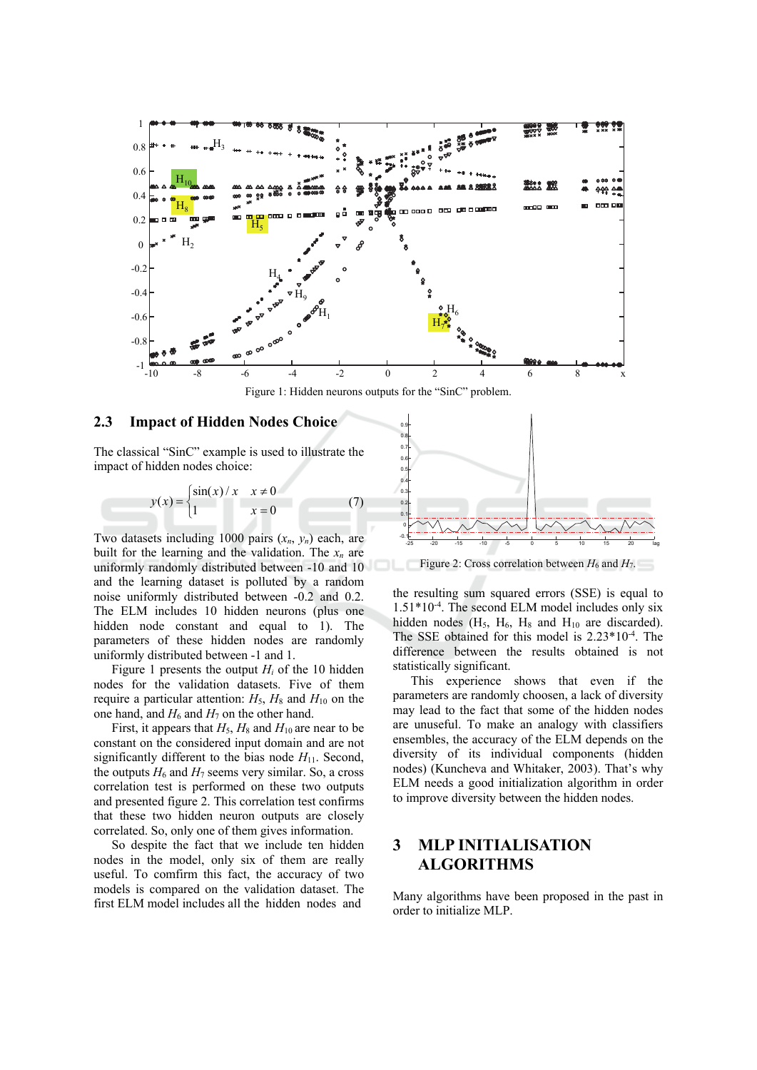

Figure 1: Hidden neurons outputs for the "SinC" problem.

#### 2.3 **Impact of Hidden Nodes Choice**

The classical "SinC" example is used to illustrate the impact of hidden nodes choice:

$$
y(x) = \begin{cases} \sin(x)/x & x \neq 0 \\ 1 & x = 0 \end{cases}
$$
 (7)

Two datasets including 1000 pairs  $(x_n, y_n)$  each, are built for the learning and the validation. The  $x_n$  are uniformly randomly distributed between -10 and 10 and the learning dataset is polluted by a random noise uniformly distributed between -0.2 and 0.2. The ELM includes 10 hidden neurons (plus one hidden node constant and equal to 1). The parameters of these hidden nodes are randomly uniformly distributed between -1 and 1.

Figure 1 presents the output  $H_i$  of the 10 hidden nodes for the validation datasets. Five of them require a particular attention:  $H_5$ ,  $H_8$  and  $H_{10}$  on the one hand, and  $H_6$  and  $H_7$  on the other hand.

First, it appears that  $H_5$ ,  $H_8$  and  $H_{10}$  are near to be constant on the considered input domain and are not significantly different to the bias node  $H_{11}$ . Second, the outputs  $H_6$  and  $H_7$  seems very similar. So, a cross correlation test is performed on these two outputs and presented figure 2. This correlation test confirms that these two hidden neuron outputs are closely correlated. So, only one of them gives information.

So despite the fact that we include ten hidden nodes in the model, only six of them are really useful. To comfirm this fact, the accuracy of two models is compared on the validation dataset. The first ELM model includes all the hidden nodes and



Figure 2: Cross correlation between  $H_6$  and  $H_7$ .

the resulting sum squared errors (SSE) is equal to  $1.51*10<sup>-4</sup>$ . The second ELM model includes only six hidden nodes  $(H_5, H_6, H_8$  and  $H_{10}$  are discarded). The SSE obtained for this model is  $2.23*10<sup>-4</sup>$ . The difference between the results obtained is not statistically significant.

This experience shows that even if the parameters are randomly choosen, a lack of diversity may lead to the fact that some of the hidden nodes are unuseful. To make an analogy with classifiers ensembles, the accuracy of the ELM depends on the diversity of its individual components (hidden nodes) (Kuncheva and Whitaker, 2003). That's why ELM needs a good initialization algorithm in order to improve diversity between the hidden nodes.

## **MLP INITIALISATION** 3 **ALGORITHMS**

Many algorithms have been proposed in the past in order to initialize MLP.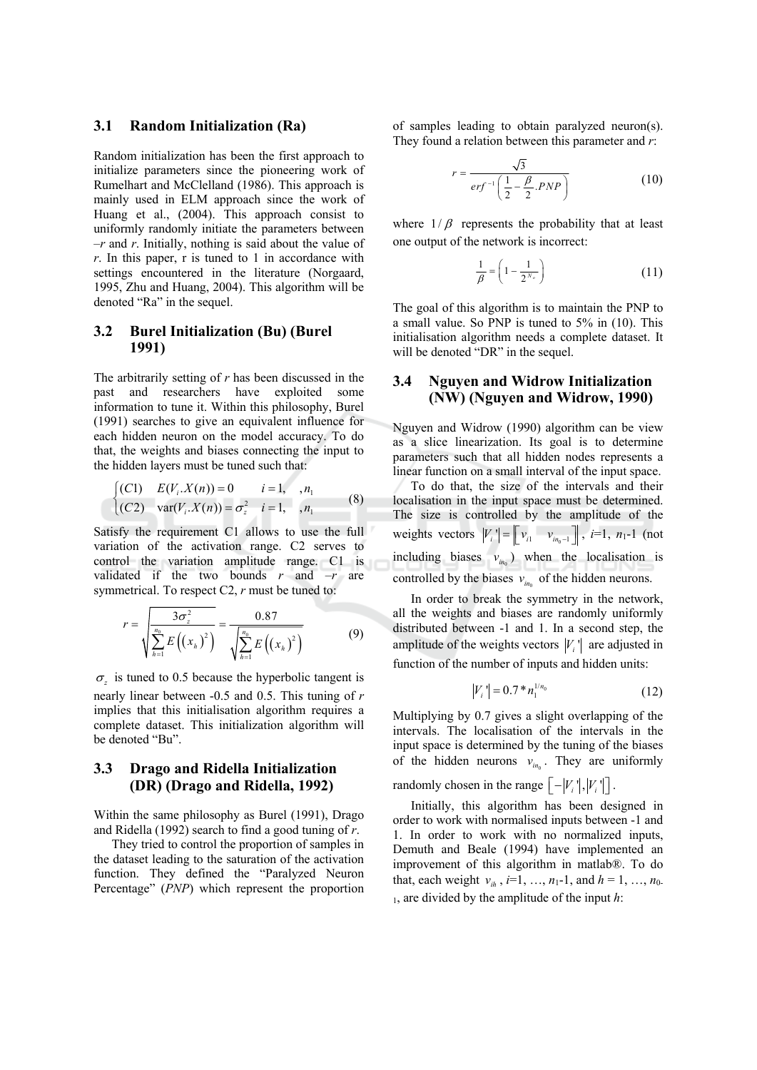#### $3.1$ **Random Initialization (Ra)**

Random initialization has been the first approach to initialize parameters since the pioneering work of Rumelhart and McClelland (1986). This approach is mainly used in ELM approach since the work of Huang et al., (2004). This approach consist to uniformly randomly initiate the parameters between  $-r$  and r. Initially, nothing is said about the value of  $r$ . In this paper, r is tuned to 1 in accordance with settings encountered in the literature (Norgaard, 1995, Zhu and Huang, 2004). This algorithm will be denoted "Ra" in the sequel.

## **Burel Initialization (Bu) (Burel** 3.2 1991)

The arbitrarily setting of  $r$  has been discussed in the past and researchers have exploited some information to tune it. Within this philosophy, Burel (1991) searches to give an equivalent influence for each hidden neuron on the model accuracy. To do that, the weights and biases connecting the input to the hidden layers must be tuned such that:

$$
\begin{cases}\n(C1) & E(V_i \cdot X(n)) = 0 & i = 1, \dots, n_1 \\
(C2) & \text{var}(V_i \cdot X(n)) = \sigma_z^2 & i = 1, \dots, n_1\n\end{cases}
$$
\n(8)

Satisfy the requirement C1 allows to use the full variation of the activation range. C2 serves to control the variation amplitude range. C1 is validated if the two bounds  $r$  and  $-r$  are symmetrical. To respect  $C2$ ,  $r$  must be tuned to:

$$
r = \sqrt{\frac{3\sigma_z^2}{\sum_{h=1}^{n_0} E((x_h)^2)}} = \frac{0.87}{\sqrt{\sum_{h=1}^{n_0} E((x_h)^2)}}
$$
(9)

 $\sigma_z$  is tuned to 0.5 because the hyperbolic tangent is nearly linear between  $-0.5$  and 0.5. This tuning of  $r$ implies that this initialisation algorithm requires a complete dataset. This initialization algorithm will be denoted "Bu".

## $3.3$ Drago and Ridella Initialization (DR) (Drago and Ridella, 1992)

Within the same philosophy as Burel (1991), Drago and Ridella (1992) search to find a good tuning of  $r$ .

They tried to control the proportion of samples in the dataset leading to the saturation of the activation function. They defined the "Paralyzed Neuron Percentage" (PNP) which represent the proportion

of samples leading to obtain paralyzed neuron(s). They found a relation between this parameter and  $r$ .

$$
r = \frac{\sqrt{3}}{erf^{-1}\left(\frac{1}{2} - \frac{\beta}{2} . PNP\right)}
$$
(10)

where  $1/\beta$  represents the probability that at least one output of the network is incorrect:

$$
\frac{1}{\beta} = \left(1 - \frac{1}{2^{N_o}}\right) \tag{11}
$$

The goal of this algorithm is to maintain the PNP to a small value. So PNP is tuned to 5% in (10). This initialisation algorithm needs a complete dataset. It will be denoted "DR" in the sequel.

## $3.4$ **Nguyen and Widrow Initialization** (NW) (Nguyen and Widrow, 1990)

Nguyen and Widrow (1990) algorithm can be view as a slice linearization. Its goal is to determine parameters such that all hidden nodes represents a linear function on a small interval of the input space.

To do that, the size of the intervals and their localisation in the input space must be determined. The size is controlled by the amplitude of the weights vectors  $|V_i| = \begin{bmatrix} v_{i1} & v_{in_0-1} \end{bmatrix}$ ,  $i=1, n_1-1$  (not including biases  $v_{in}$  when the localisation is controlled by the biases  $v_{in}$  of the hidden neurons.

In order to break the symmetry in the network, all the weights and biases are randomly uniformly distributed between -1 and 1. In a second step, the amplitude of the weights vectors  $|V_i|$  are adjusted in function of the number of inputs and hidden units:

$$
|V_i'| = 0.7 * n_1^{1/n_0} \tag{12}
$$

Multiplying by 0.7 gives a slight overlapping of the intervals. The localisation of the intervals in the input space is determined by the tuning of the biases of the hidden neurons  $v_{in}$ . They are uniformly

randomly chosen in the range  $\lceil -|V_i|^{\dagger}, |V_i|^{\dagger}$ .

Initially, this algorithm has been designed in order to work with normalised inputs between -1 and 1. In order to work with no normalized inputs, Demuth and Beale (1994) have implemented an improvement of this algorithm in matlab®. To do that, each weight  $v_{ih}$ ,  $i=1, ..., n_1-1$ , and  $h = 1, ..., n_0$ .  $\mu$ , are divided by the amplitude of the input h: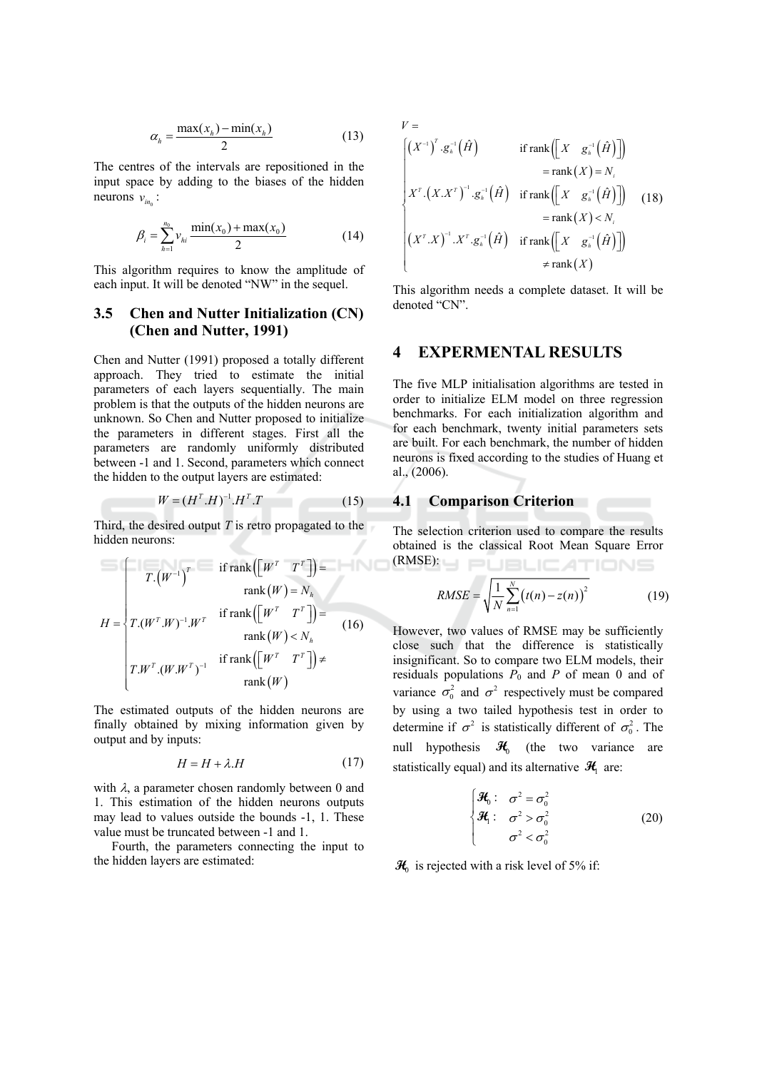$$
\alpha_h = \frac{\max(x_h) - \min(x_h)}{2} \tag{13}
$$

The centres of the intervals are repositioned in the input space by adding to the biases of the hidden neurons  $v_{in}$ :

$$
\beta_i = \sum_{h=1}^{n_0} v_{hi} \frac{\min(x_0) + \max(x_0)}{2} \tag{14}
$$

This algorithm requires to know the amplitude of each input. It will be denoted "NW" in the sequel.

## $3.5$ **Chen and Nutter Initialization (CN)** (Chen and Nutter, 1991)

Chen and Nutter (1991) proposed a totally different approach. They tried to estimate the initial parameters of each layers sequentially. The main problem is that the outputs of the hidden neurons are unknown. So Chen and Nutter proposed to initialize the parameters in different stages. First all the parameters are randomly uniformly distributed between -1 and 1. Second, parameters which connect the hidden to the output layers are estimated:

$$
W = (H^T . H)^{-1} . H^T . T \tag{15}
$$

Third, the desired output  $T$  is retro propagated to the hidden neurons:

$$
H = \begin{cases} T.(W^{-1})^T & \text{if } \text{rank}([W^T \quad T^T]) = \\ T.(W^T.W)^{-1}.W^T & \text{if } \text{rank}([W^T \quad T^T]) = \\ T.(W^T.W)^{-1}.W^T & \text{rank}(W) < N_h \\ T.W^T.(W.W^T)^{-1} & \text{if } \text{rank}([W^T \quad T^T]) \neq \\ \text{rank}(W) & \text{rank}(W) \end{cases}
$$

The estimated outputs of the hidden neurons are finally obtained by mixing information given by output and by inputs:

$$
H = H + \lambda.H \tag{17}
$$

with  $\lambda$ , a parameter chosen randomly between 0 and 1. This estimation of the hidden neurons outputs may lead to values outside the bounds -1, 1. These value must be truncated between -1 and 1.

Fourth, the parameters connecting the input to the hidden layers are estimated:

$$
V = \begin{cases} \left(X^{-1}\right)^{T} \cdot g_{h}^{-1}\left(\hat{H}\right) & \text{if } \text{rank}\left(\begin{bmatrix} X & g_{h}^{-1}\left(\hat{H}\right) \end{bmatrix}\right) \\ \text{ }= \text{rank}\left(X\right) = N_{i} \\ X^{T} \cdot \left(X.X^{T}\right)^{-1} \cdot g_{h}^{-1}\left(\hat{H}\right) & \text{if } \text{rank}\left(\begin{bmatrix} X & g_{h}^{-1}\left(\hat{H}\right) \end{bmatrix}\right) \\ \text{ }= \text{rank}\left(X\right) < N_{i} \\ \left(X^{T} \cdot X\right)^{-1} \cdot X^{T} \cdot g_{h}^{-1}\left(\hat{H}\right) & \text{if } \text{rank}\left(\begin{bmatrix} X & g_{h}^{-1}\left(\hat{H}\right) \end{bmatrix}\right) \\ \neq \text{rank}\left(X\right) \end{cases}
$$

This algorithm needs a complete dataset. It will be denoted "CN".

### $\overline{\mathbf{4}}$ **EXPERMENTAL RESULTS**

The five MLP initialisation algorithms are tested in order to initialize ELM model on three regression benchmarks. For each initialization algorithm and for each benchmark, twenty initial parameters sets are built. For each benchmark, the number of hidden neurons is fixed according to the studies of Huang et al.,  $(2006)$ .

## **4.1 Comparison Criterion**

The selection criterion used to compare the results obtained is the classical Root Mean Square Error  $(RMSE):$ **J PUBLICATIONS** 

RMSE = 
$$
\sqrt{\frac{1}{N} \sum_{n=1}^{N} (t(n) - z(n))^2}
$$
 (19)

However, two values of RMSE may be sufficiently close such that the difference is statistically insignificant. So to compare two ELM models, their residuals populations  $P_0$  and P of mean 0 and of variance  $\sigma_0^2$  and  $\sigma^2$  respectively must be compared by using a two tailed hypothesis test in order to determine if  $\sigma^2$  is statistically different of  $\sigma_0^2$ . The null hypothesis  $\mathcal{H}_0$  (the two variance are statistically equal) and its alternative  $\mathcal{H}_1$  are:

$$
\begin{cases}\n\mathcal{H}_0: \quad \sigma^2 = \sigma_0^2 \\
\mathcal{H}_1: \quad \sigma^2 > \sigma_0^2 \\
\sigma^2 < \sigma_0^2\n\end{cases}
$$
\n(20)

 $\mathcal{H}_0$  is rejected with a risk level of 5% if: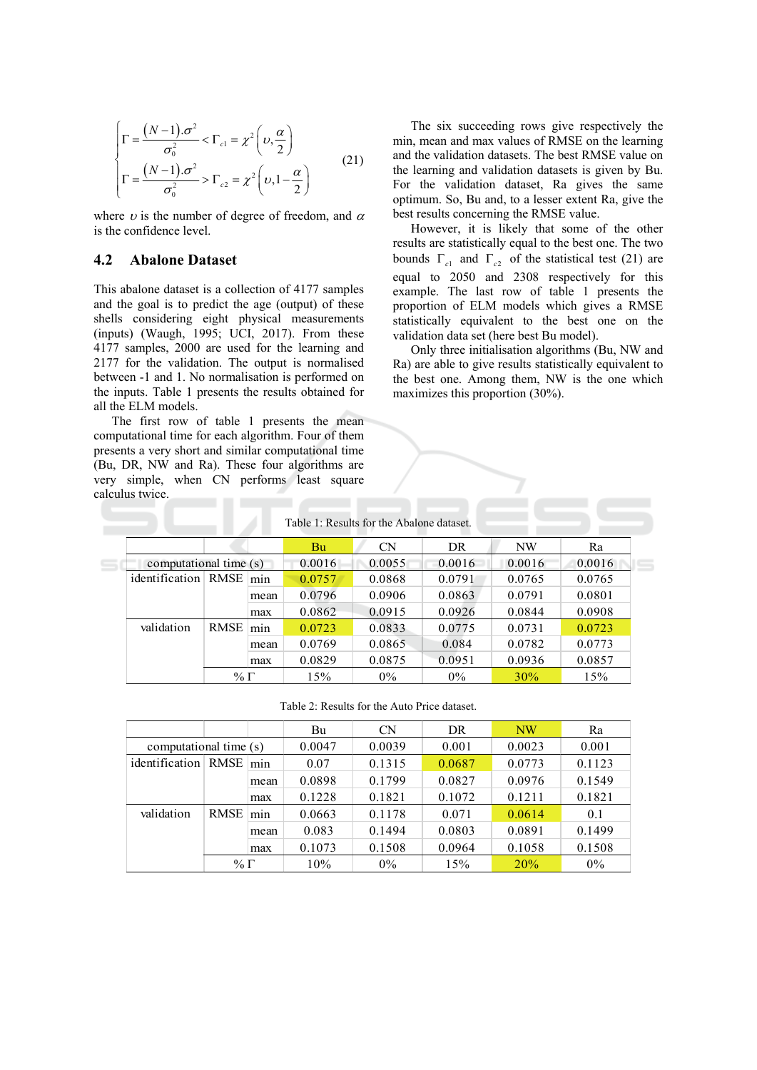$$
\begin{cases}\n\Gamma = \frac{(N-1)\cdot\sigma^2}{\sigma_0^2} < \Gamma_{c1} = \chi^2 \left(\nu, \frac{\alpha}{2}\right) \\
\Gamma = \frac{(N-1)\cdot\sigma^2}{\sigma_0^2} > \Gamma_{c2} = \chi^2 \left(\nu, 1 - \frac{\alpha}{2}\right)\n\end{cases} (21)
$$

where  $\nu$  is the number of degree of freedom, and  $\alpha$ is the confidence level.

#### 4.2 **Abalone Dataset**

This abalone dataset is a collection of 4177 samples and the goal is to predict the age (output) of these shells considering eight physical measurements (inputs) (Waugh, 1995; UCI, 2017). From these 4177 samples, 2000 are used for the learning and 2177 for the validation. The output is normalised between -1 and 1. No normalisation is performed on the inputs. Table 1 presents the results obtained for all the ELM models.

The first row of table 1 presents the mean computational time for each algorithm. Four of them presents a very short and similar computational time (Bu, DR, NW and Ra). These four algorithms are very simple, when CN performs least square calculus twice. \_\_\_\_\_\_

The six succeeding rows give respectively the min, mean and max values of RMSE on the learning and the validation datasets. The best RMSE value on the learning and validation datasets is given by Bu. For the validation dataset, Ra gives the same optimum. So, Bu and, to a lesser extent Ra, give the best results concerning the RMSE value.

However, it is likely that some of the other results are statistically equal to the best one. The two bounds  $\Gamma_{c1}$  and  $\Gamma_{c2}$  of the statistical test (21) are equal to 2050 and 2308 respectively for this example. The last row of table 1 presents the proportion of ELM models which gives a RMSE statistically equivalent to the best one on the validation data set (here best Bu model).

Only three initialisation algorithms (Bu, NW and Ra) are able to give results statistically equivalent to the best one. Among them, NW is the one which maximizes this proportion  $(30\%)$ .

| Table 1: Results for the Abalone dataset. |             |      |        |           |        |        |        |
|-------------------------------------------|-------------|------|--------|-----------|--------|--------|--------|
|                                           |             |      | Bu     | <b>CN</b> | DR     | NW     | Ra     |
| computational time (s)                    |             |      | 0.0016 | 0.0055    | 0.0016 | 0.0016 | 0.0016 |
| identification RMSE                       |             | min  | 0.0757 | 0.0868    | 0.0791 | 0.0765 | 0.0765 |
|                                           |             | mean | 0.0796 | 0.0906    | 0.0863 | 0.0791 | 0.0801 |
|                                           |             | max  | 0.0862 | 0.0915    | 0.0926 | 0.0844 | 0.0908 |
| validation                                | <b>RMSE</b> | min  | 0.0723 | 0.0833    | 0.0775 | 0.0731 | 0.0723 |
|                                           |             | mean | 0.0769 | 0.0865    | 0.084  | 0.0782 | 0.0773 |
|                                           |             | max  | 0.0829 | 0.0875    | 0.0951 | 0.0936 | 0.0857 |
|                                           | $\% \Gamma$ |      | 15%    | $0\%$     | $0\%$  | 30%    | 15%    |

Table 2: Results for the Auto Price dataset.

|                        |             |      | Bu     | <b>CN</b> | DR     | <b>NW</b> | Ra     |
|------------------------|-------------|------|--------|-----------|--------|-----------|--------|
| computational time (s) |             |      | 0.0047 | 0.0039    | 0.001  | 0.0023    | 0.001  |
| identification         | RMSE        | min  | 0.07   | 0.1315    | 0.0687 | 0.0773    | 0.1123 |
|                        |             | mean | 0.0898 | 0.1799    | 0.0827 | 0.0976    | 0.1549 |
|                        |             | max  | 0.1228 | 0.1821    | 0.1072 | 0.1211    | 0.1821 |
| validation             | <b>RMSE</b> | min  | 0.0663 | 0.1178    | 0.071  | 0.0614    | 0.1    |
|                        |             | mean | 0.083  | 0.1494    | 0.0803 | 0.0891    | 0.1499 |
|                        |             | max  | 0.1073 | 0.1508    | 0.0964 | 0.1058    | 0.1508 |
|                        | $\% \Gamma$ |      | 10%    | $0\%$     | 15%    | 20%       | $0\%$  |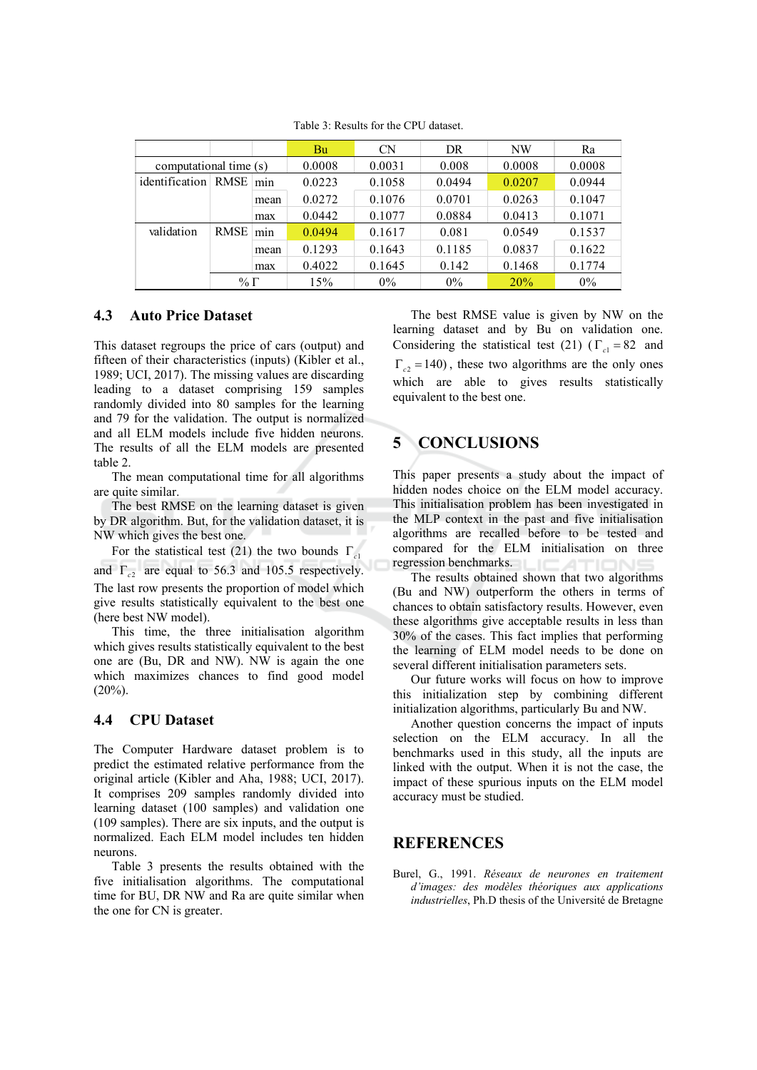|                        |             |      | Bu     | <b>CN</b> | DR     | NW     | Ra     |
|------------------------|-------------|------|--------|-----------|--------|--------|--------|
| computational time (s) |             |      | 0.0008 | 0.0031    | 0.008  | 0.0008 | 0.0008 |
| identification RMSE    |             | min  | 0.0223 | 0.1058    | 0.0494 | 0.0207 | 0.0944 |
|                        |             | mean | 0.0272 | 0.1076    | 0.0701 | 0.0263 | 0.1047 |
|                        |             | max  | 0.0442 | 0.1077    | 0.0884 | 0.0413 | 0.1071 |
| validation             | <b>RMSE</b> | min  | 0.0494 | 0.1617    | 0.081  | 0.0549 | 0.1537 |
|                        |             | mean | 0.1293 | 0.1643    | 0.1185 | 0.0837 | 0.1622 |
|                        |             | max  | 0.4022 | 0.1645    | 0.142  | 0.1468 | 0.1774 |
|                        | %Γ          |      | 15%    | $0\%$     | $0\%$  | 20%    | $0\%$  |

Table 3: Results for the CPU dataset.

### 4.3 **Auto Price Dataset**

This dataset regroups the price of cars (output) and fifteen of their characteristics (inputs) (Kibler et al., 1989; UCI, 2017). The missing values are discarding leading to a dataset comprising 159 samples randomly divided into 80 samples for the learning and 79 for the validation. The output is normalized and all ELM models include five hidden neurons. The results of all the ELM models are presented table 2.

The mean computational time for all algorithms are quite similar.

The best RMSE on the learning dataset is given by DR algorithm. But, for the validation dataset, it is NW which gives the best one.

For the statistical test (21) the two bounds  $\Gamma_{c1}$ and  $\Gamma_{c2}$  are equal to 56.3 and 105.5 respectively. The last row presents the proportion of model which give results statistically equivalent to the best one (here best NW model).

This time, the three initialisation algorithm which gives results statistically equivalent to the best one are (Bu, DR and NW). NW is again the one which maximizes chances to find good model  $(20\%)$ .

### **CPU** Dataset 4.4

The Computer Hardware dataset problem is to predict the estimated relative performance from the original article (Kibler and Aha, 1988; UCI, 2017). It comprises 209 samples randomly divided into learning dataset (100 samples) and validation one (109 samples). There are six inputs, and the output is normalized. Each ELM model includes ten hidden neurons.

Table 3 presents the results obtained with the five initialisation algorithms. The computational time for BU, DR NW and Ra are quite similar when the one for CN is greater.

The best RMSE value is given by NW on the learning dataset and by Bu on validation one. Considering the statistical test (21) ( $\Gamma_{c1} = 82$  and  $\Gamma_{c2} = 140$ , these two algorithms are the only ones which are able to gives results statistically equivalent to the best one.

## $\overline{\mathbf{S}}$ **CONCLUSIONS**

This paper presents a study about the impact of hidden nodes choice on the ELM model accuracy. This initialisation problem has been investigated in the MLP context in the past and five initialisation algorithms are recalled before to be tested and compared for the ELM initialisation on three regression benchmarks.

The results obtained shown that two algorithms (Bu and NW) outperform the others in terms of chances to obtain satisfactory results. However, even these algorithms give acceptable results in less than 30% of the cases. This fact implies that performing the learning of ELM model needs to be done on several different initialisation parameters sets.

Our future works will focus on how to improve this initialization step by combining different initialization algorithms, particularly Bu and NW.

Another question concerns the impact of inputs selection on the ELM accuracy. In all the benchmarks used in this study, all the inputs are linked with the output. When it is not the case, the impact of these spurious inputs on the ELM model accuracy must be studied.

## **REFERENCES**

Burel, G., 1991. Réseaux de neurones en traitement d'images: des modèles théoriques aux applications industrielles, Ph.D thesis of the Université de Bretagne